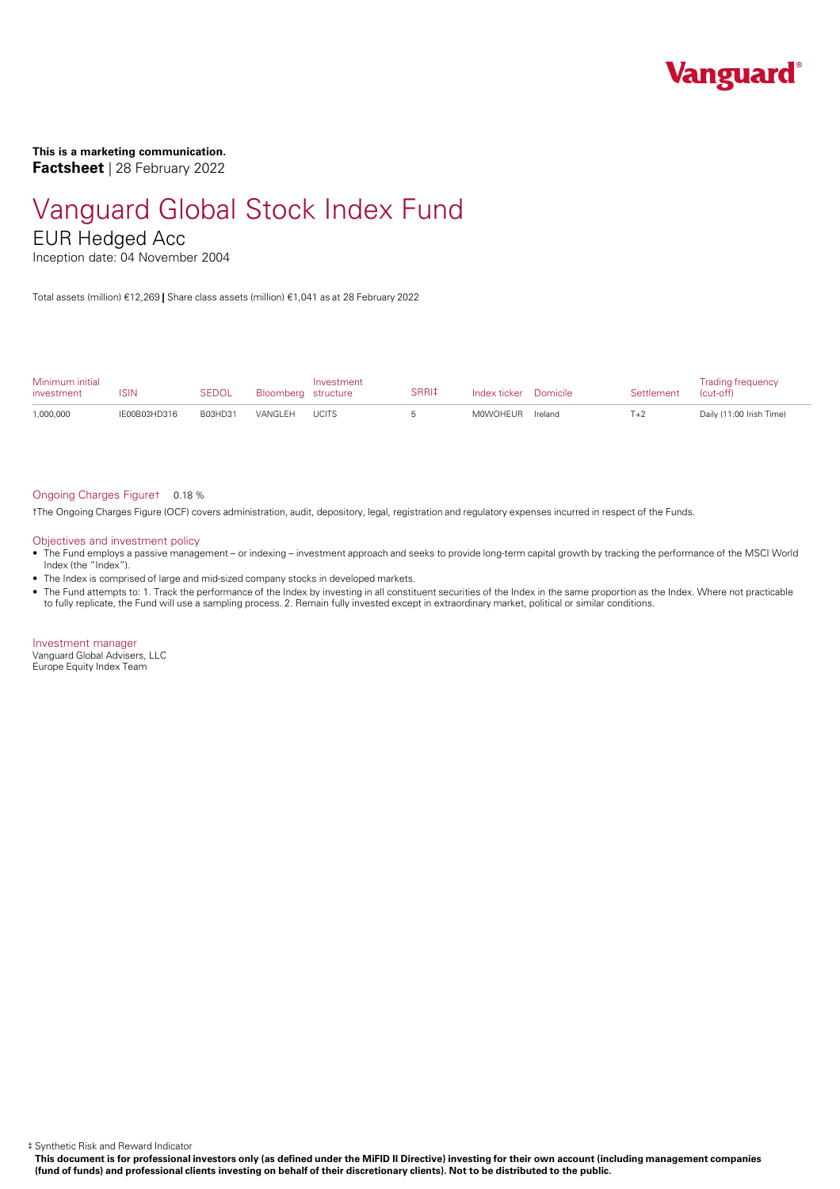

**This is a marketing communication. Factsheet** | 28 February 2022

# Vanguard Global Stock Index Fund

### EUR Hedged Acc

Inception date: 04 November 2004

Total assets (million) €12,269 **|** Share class assets (million) €1,041 as at 28 February 2022

| Minimum initial<br>investment | ISIN         | <b>SEDOL</b> | Bloomberg structure | Investment   | SRRI‡ | Index ticker Domicile | Settlement | <b>Trading frequency</b><br>(cut-off) |
|-------------------------------|--------------|--------------|---------------------|--------------|-------|-----------------------|------------|---------------------------------------|
| 1,000,000                     | IE00B03HD316 | B03HD31      | VANGI FH            | <b>UCITS</b> |       | M0WOHEUR Ireland      | $T+2$      | Daily (11:00 Irish Time)              |

#### Ongoing Charges Figure† 0.18 %

†The Ongoing Charges Figure (OCF) covers administration, audit, depository, legal, registration and regulatory expenses incurred in respect of the Funds.

#### Objectives and investment policy

- The Fund employs a passive management orindexing investment approach and seeks to provide long-term capital growth by tracking the performance of the MSCI World Index (the "Index").
- The Index is comprised of large and mid-sized company stocks in developed markets.
- The Fund attempts to: 1. Track the performance of the Index by investing in all constituent securities of the Index in the same proportion as the Index. Where not practicable to fully replicate, the Fund will use a sampling process. 2. Remain fully invested except in extraordinary market, political or similar conditions.

Investment manager Vanguard Global Advisers, LLC Europe Equity Index Team

‡ Synthetic Risk and Reward Indicator

This document is for professional investors only (as defined under the MiFID II Directive) investing for their own account (including management companies (fund of funds) and professional clients investing on behalf of their discretionary clients). Not to be distributed to the public.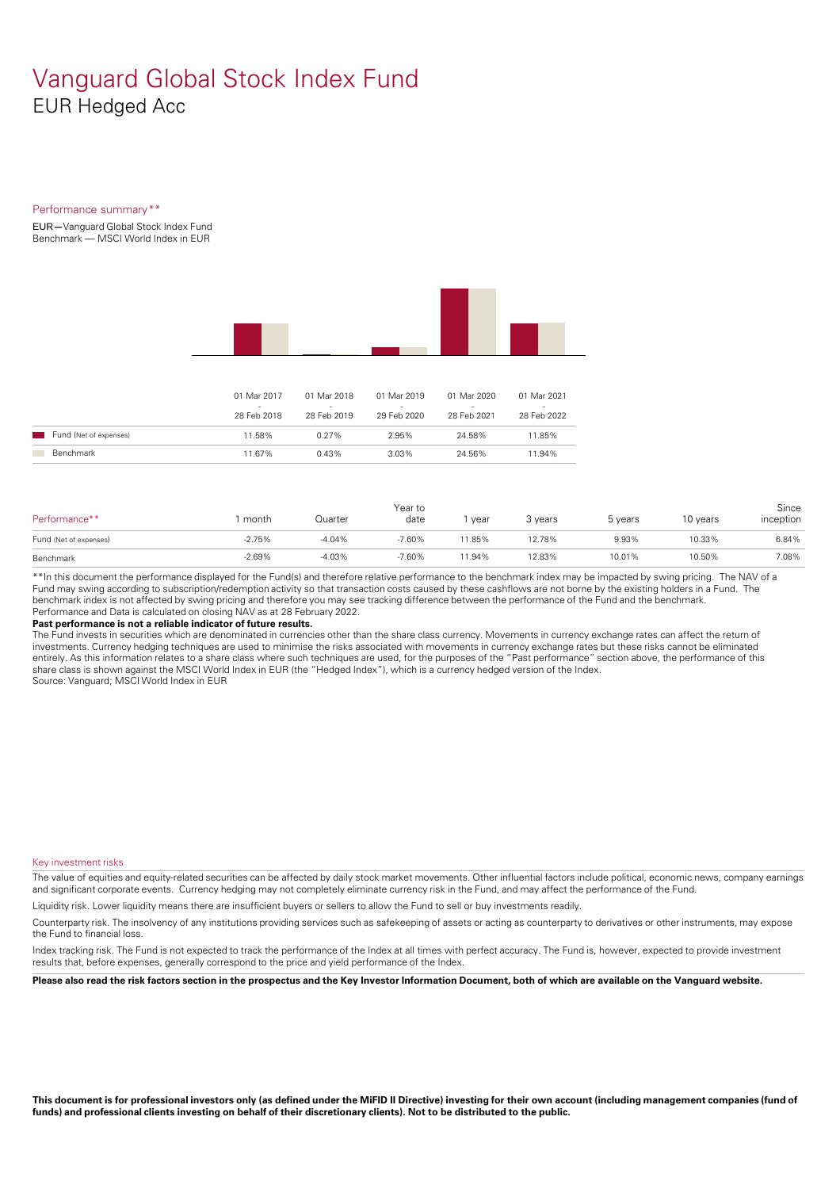### Vanguard Global Stock Index Fund EUR Hedged Acc

#### Performance summary\*\*

EUR**—**Vanguard Global Stock Index Fund Benchmark — MSCI World Index in EUR



|                        | 01 Mar 2017<br>28 Feb 2018 | 01 Mar 2018<br>28 Feb 2019 | 01 Mar 2019<br>29 Feb 2020 | 01 Mar 2020<br>-<br>28 Feb 2021 | 01 Mar 2021<br>-<br>28 Feb 2022 |
|------------------------|----------------------------|----------------------------|----------------------------|---------------------------------|---------------------------------|
| Fund (Net of expenses) | 11.58%                     | $0.27\%$                   | 2.95%                      | 24.58%                          | 11.85%                          |
| Benchmark              | 11.67%                     | 0.43%                      | 3.03%                      | 24.56%                          | 11.94%                          |

| Performance**          | month    | Quarter  | Year to<br>date | year   | 3 years | 5 years | 10 years | Since<br>inception |
|------------------------|----------|----------|-----------------|--------|---------|---------|----------|--------------------|
| Fund (Net of expenses) | $-2.75%$ | $-4.04%$ | $-7.60%$        | 1.85%  | 12.78%  | 9.93%   | 10.33%   | 6.84%              |
| Benchmark              | $-2.69%$ | $-4.03%$ | $-7.60%$        | 11.94% | 12.83%  | 10.01%  | 10.50%   | 7.08%              |

\*\*In this document the performance displayed for the Fund(s) and therefore relative performance to the benchmark index may be impacted by swing pricing. The NAV of a Fund may swing according to subscription/redemption activity so that transaction costs caused by these cashflows are notborne by the existing holders in a Fund. The benchmark index is not affected by swing pricing and therefore you may see tracking difference between the performance of the Fund and the benchmark. Performance and Data is calculated on closing NAV as at 28 February 2022.

#### **Past performance is not a reliable indicator of future results.**

The Fund invests in securities which are denominated in currencies other than the share class currency. Movements in currency exchange rates can affect the return of investments. Currency hedging techniques are used to minimise the risks associated with movements in currency exchange rates but these risks cannot be eliminated entirely. As this information relates to a share class where such techniques are used, for the purposes of the "Past performance" section above, the performance of this share class is shown against the MSCI World Index in EUR (the "Hedged Index"), which is a currency hedged version of the Index. Source: Vanguard; MSCI World Index in EUR

#### Key investment risks

The value of equities and equity-related securities can be affected by daily stock market movements. Other influential factors include political, economic news, company earnings and significant corporate events. Currency hedging may not completely eliminate currency risk in the Fund, and may affect the performance of the Fund.

Liquidity risk. Lower liquidity means there are insufficient buyers or sellers to allow the Fund to sell or buy investments readily.

Counterparty risk. The insolvency ofany institutions providing services such as safekeeping of assets or acting as counterparty to derivatives or other instruments, may expose the Fund to financial loss.

Index tracking risk.The Fund is not expected to track the performance of the Index at all times with perfect accuracy. The Fund is, however, expected to provide investment results that, before expenses, generally correspond to the price and yield performance of the Index.

Please also read the risk factors section in the prospectus and the Key Investor Information Document, both of which are available on the Vanguard website.

This document is for professional investors only (as defined under the MiFID II Directive) investing for their own account (including management companies (fund of funds) and professional clients investing on behalf of their discretionary clients). Not to be distributed to the public.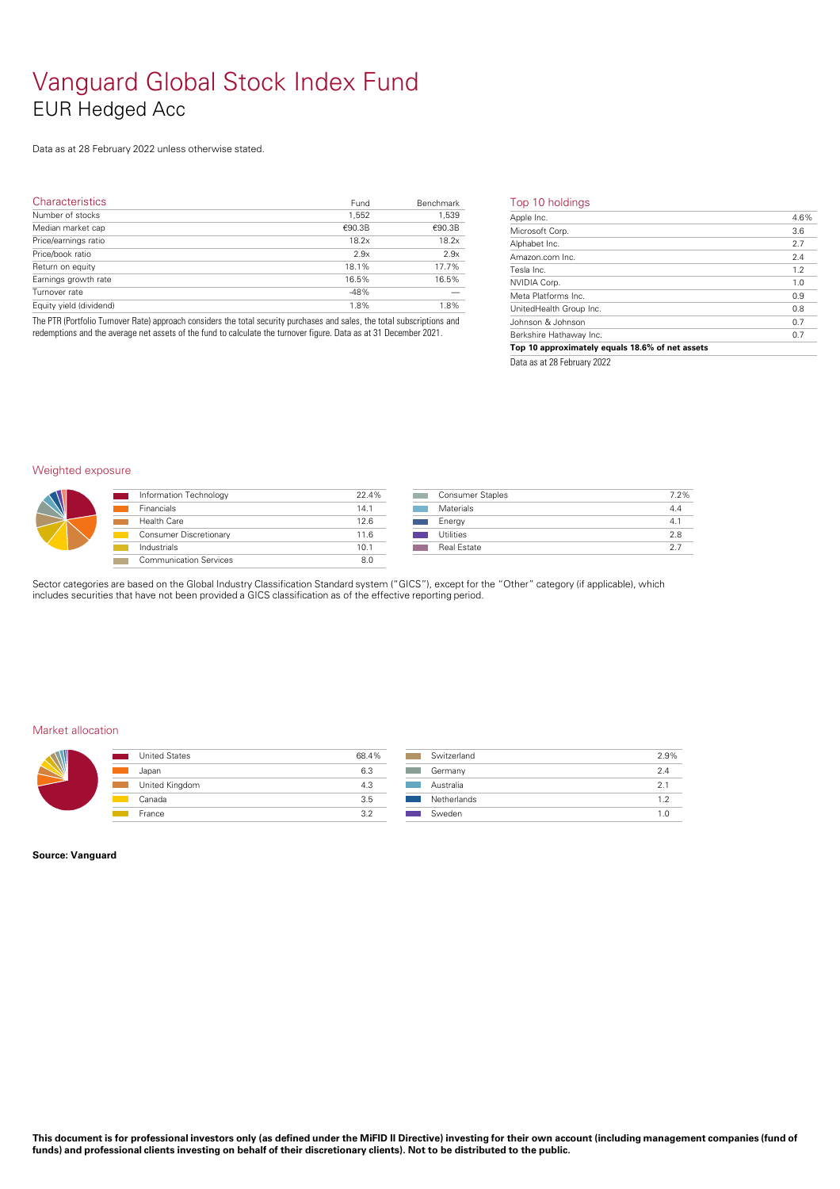## Vanguard Global Stock Index Fund EUR Hedged Acc

Data as at 28 February 2022 unless otherwise stated.

| <b>Characteristics</b>  | Fund   | Benchmark | Тc                    |
|-------------------------|--------|-----------|-----------------------|
| Number of stocks        | 1,552  | 1,539     | $\overline{Ap}$       |
| Median market cap       | €90.3B | €90.3B    | $Mi$                  |
| Price/earnings ratio    | 18.2x  | 18.2x     | Alp                   |
| Price/book ratio        | 2.9x   | 2.9x      | $\frac{\Delta n}{2}$  |
| Return on equity        | 18.1%  | 17.7%     | Tes                   |
| Earnings growth rate    | 16.5%  | 16.5%     | $\frac{NV}{\sqrt{2}}$ |
| Turnover rate           | $-48%$ |           | Me                    |
|                         | 1.8%   | 1.8%      | Un                    |
| Equity yield (dividend) |        |           |                       |

The PTR (Portfolio Turnover Rate) approach considers the total security purchases and sales, the total subscriptions and redemptions and the average net assets of the fund to calculate the turnover figure. Data as at 31 December 2021.

#### Top 10 holdings

| Apple Inc.                                      | 4.6% |
|-------------------------------------------------|------|
| Microsoft Corp.                                 | 3.6  |
| Alphabet Inc.                                   | 2.7  |
| Amazon.com Inc.                                 | 2.4  |
| Tesla Inc.                                      | 1.2  |
| NVIDIA Corp.                                    | 1.0  |
| Meta Platforms Inc.                             | 0.9  |
| UnitedHealth Group Inc.                         | 0.8  |
| Johnson & Johnson                               | 0.7  |
| Berkshire Hathaway Inc.                         | 0.7  |
| Top 10 approximately equals 18.6% of net assets |      |
| $D_{111}$ 00 F.L0000                            |      |

Data as at 28 February 2022

#### Weighted exposure



| Information Technology        | 22.4% |
|-------------------------------|-------|
| Financials                    | 14.1  |
| Health Care                   | 126   |
| <b>Consumer Discretionary</b> | 11.6  |
| Industrials                   | 10.1  |
| <b>Communication Services</b> | 80    |
|                               |       |

| Consumer Staples   | 7.2% |
|--------------------|------|
| Materials          | 4.4  |
| Energy             | 4.1  |
| Utilities          | 28   |
| <b>Real Estate</b> | クラ   |

Sector categories are based on the Global Industry Classification Standard system ("GICS"), except for the "Other" category (if applicable), which includes securities that have not been provided a GICS classification as ofthe effective reporting period.

#### Market allocation

| <b>United States</b> | 68.4% | Sw  |
|----------------------|-------|-----|
| Japan                | 6.3   | Ger |
| United Kingdom       | 4.3   | Aus |
| Canada               | 3.5   | Net |
| France               | つつ    | Sw  |

| Switzerland | 2.9% |
|-------------|------|
| Germany     | 2.4  |
| Australia   | 21   |
| Netherlands | 1.2  |
| Sweden      | 10   |

#### **Source: Vanguard**